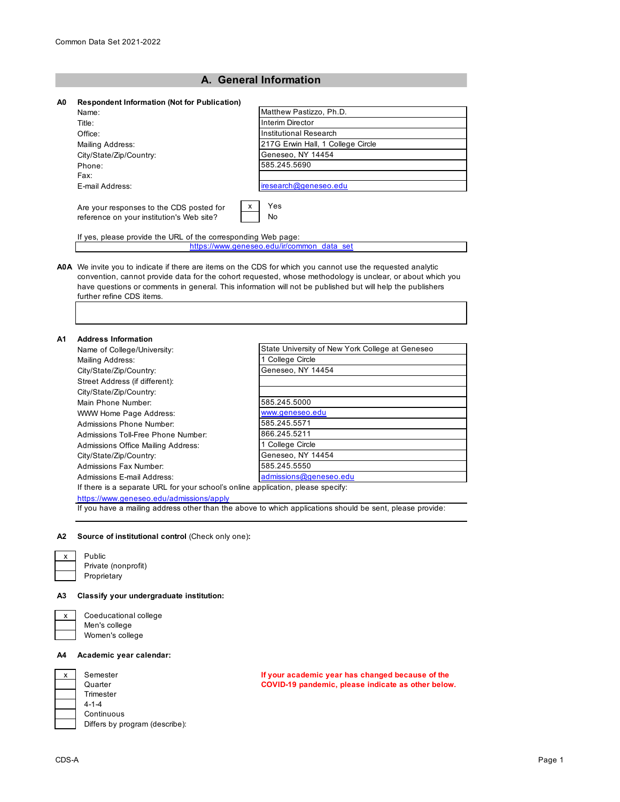# **A. General Information**

## **A0 Respondent Information (Not for Publication)**

|                                                                                            | Matthew Pastizzo, Ph.D.           |
|--------------------------------------------------------------------------------------------|-----------------------------------|
| Name:                                                                                      |                                   |
| Title:                                                                                     | Interim Director                  |
| Office:                                                                                    | Institutional Research            |
| Mailing Address:                                                                           | 217G Erwin Hall, 1 College Circle |
| City/State/Zip/Country:                                                                    | Geneseo, NY 14454                 |
| Phone:                                                                                     | 585.245.5690                      |
| Fax:                                                                                       |                                   |
| E-mail Address:                                                                            | iresearch@geneseo.edu             |
| x<br>Are your responses to the CDS posted for<br>reference on your institution's Web site? | Yes<br>No                         |

If yes, please provide the URL of the corresponding Web page: https://www.geneseo.edu/ir/common\_data\_set

### **A0A** We invite you to indicate if there are items on the CDS for which you cannot use the requested analytic convention, cannot provide data for the cohort requested, whose methodology is unclear, or about which you have questions or comments in general. This information will not be published but will help the publishers further refine CDS items.

### **A1 Address Information**

| Name of College/University:                                                      | State University of New York College at Geneseo |
|----------------------------------------------------------------------------------|-------------------------------------------------|
| Mailing Address:                                                                 | 1 College Circle                                |
| City/State/Zip/Country:                                                          | Geneseo, NY 14454                               |
| Street Address (if different):                                                   |                                                 |
| City/State/Zip/Country:                                                          |                                                 |
| Main Phone Number                                                                | 585.245.5000                                    |
| WWW Home Page Address:                                                           | www.geneseo.edu                                 |
| Admissions Phone Number:                                                         | 585.245.5571                                    |
| Admissions Toll-Free Phone Number:                                               | 866.245.5211                                    |
| Admissions Office Mailing Address:                                               | 1 College Circle                                |
| City/State/Zip/Country:                                                          | Geneseo, NY 14454                               |
| Admissions Fax Number:                                                           | 585.245.5550                                    |
| Admissions E-mail Address:                                                       | admissions@geneseo.edu                          |
| If there is a separate URL for your school's online application, please specify: |                                                 |

https://www.geneseo.edu/admissions/apply

If you have a mailing address other than the above to which applications should be sent, please provide:

#### **A2 Source of institutional control** (Check only one)**:**

Public Private (nonprofit) Proprietary

### **A3 Classify your undergraduate institution:**

# Coeducational college Men's college

Women's college

## **A4 Academic year calendar:**

| x | Semester                       |
|---|--------------------------------|
|   | Quarter                        |
|   | Trimester                      |
|   | $4 - 1 - 4$                    |
|   | Continuous                     |
|   | Differs by program (describe): |
|   |                                |

**If your academic year has changed because of the COVID-19 pandemic, please indicate as other below.**